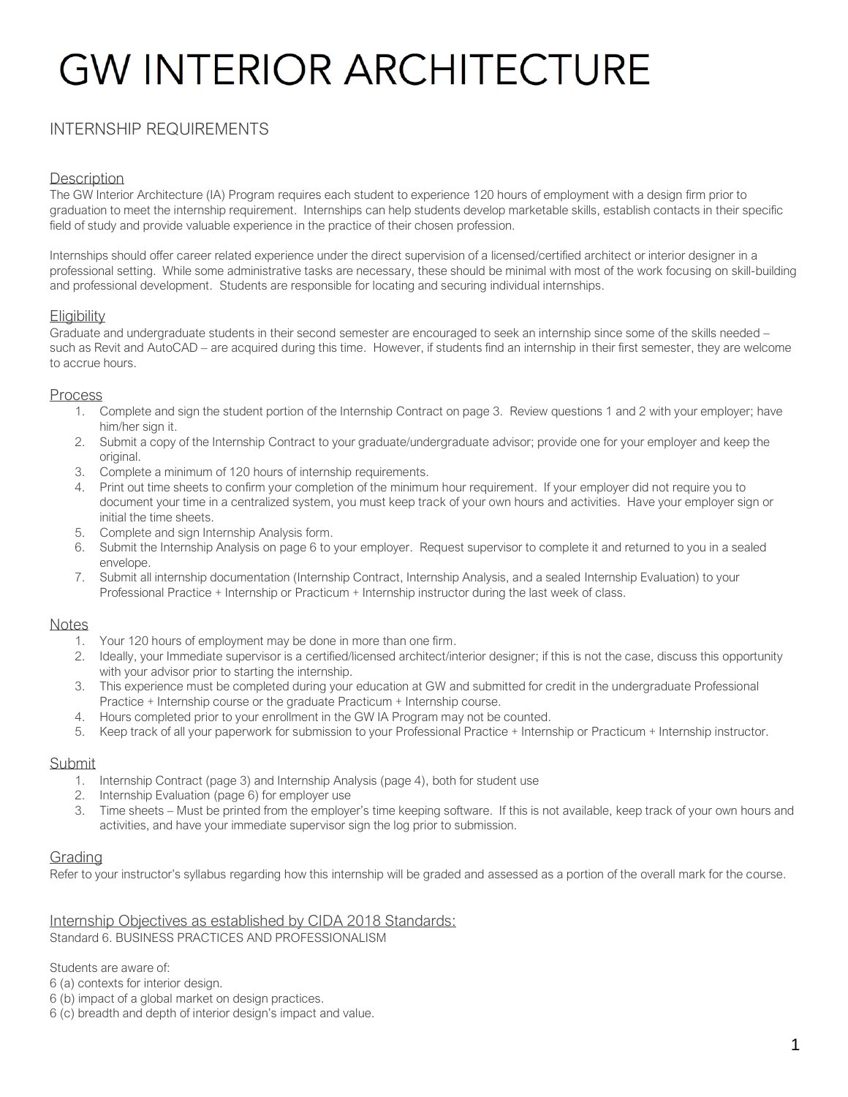### INTERNSHIP REQUIREMENTS

#### **Description**

The GW Interior Architecture (IA) Program requires each student to experience 120 hours of employment with a design firm prior to graduation to meet the internship requirement. Internships can help students develop marketable skills, establish contacts in their specific field of study and provide valuable experience in the practice of their chosen profession.

Internships should offer career related experience under the direct supervision of a licensed/certified architect or interior designer in a professional setting. While some administrative tasks are necessary, these should be minimal with most of the work focusing on skill-building and professional development. Students are responsible for locating and securing individual internships.

#### **Eligibility**

Graduate and undergraduate students in their second semester are encouraged to seek an internship since some of the skills needed – such as Revit and AutoCAD – are acquired during this time. However, if students find an internship in their first semester, they are welcome to accrue hours.

#### Process

- 1. Complete and sign the student portion of the Internship Contract on page 3. Review questions 1 and 2 with your employer; have him/her sign it.
- 2. Submit a copy of the Internship Contract to your graduate/undergraduate advisor; provide one for your employer and keep the original.
- 3. Complete a minimum of 120 hours of internship requirements.
- 4. Print out time sheets to confirm your completion of the minimum hour requirement. If your employer did not require you to document your time in a centralized system, you must keep track of your own hours and activities. Have your employer sign or initial the time sheets.
- 5. Complete and sign Internship Analysis form.
- 6. Submit the Internship Analysis on page 6 to your employer. Request supervisor to complete it and returned to you in a sealed envelope.
- 7. Submit all internship documentation (Internship Contract, Internship Analysis, and a sealed Internship Evaluation) to your Professional Practice + Internship or Practicum + Internship instructor during the last week of class.

#### **Notes**

- 1. Your 120 hours of employment may be done in more than one firm.
- 2. Ideally, your Immediate supervisor is a certified/licensed architect/interior designer; if this is not the case, discuss this opportunity with your advisor prior to starting the internship.
- 3. This experience must be completed during your education at GW and submitted for credit in the undergraduate Professional Practice + Internship course or the graduate Practicum + Internship course.
- 4. Hours completed prior to your enrollment in the GW IA Program may not be counted.
- 5. Keep track of all your paperwork for submission to your Professional Practice + Internship or Practicum + Internship instructor.

#### Submit

- 1. Internship Contract (page 3) and Internship Analysis (page 4), both for student use
- 2. Internship Evaluation (page 6) for employer use
- 3. Time sheets Must be printed from the employer's time keeping software. If this is not available, keep track of your own hours and activities, and have your immediate supervisor sign the log prior to submission.

#### **Grading**

Refer to your instructor's syllabus regarding how this internship will be graded and assessed as a portion of the overall mark for the course.

Internship Objectives as established by CIDA 2018 Standards: Standard 6. BUSINESS PRACTICES AND PROFESSIONALISM

Students are aware of:

6 (a) contexts for interior design.

6 (b) impact of a global market on design practices.

6 (c) breadth and depth of interior design's impact and value.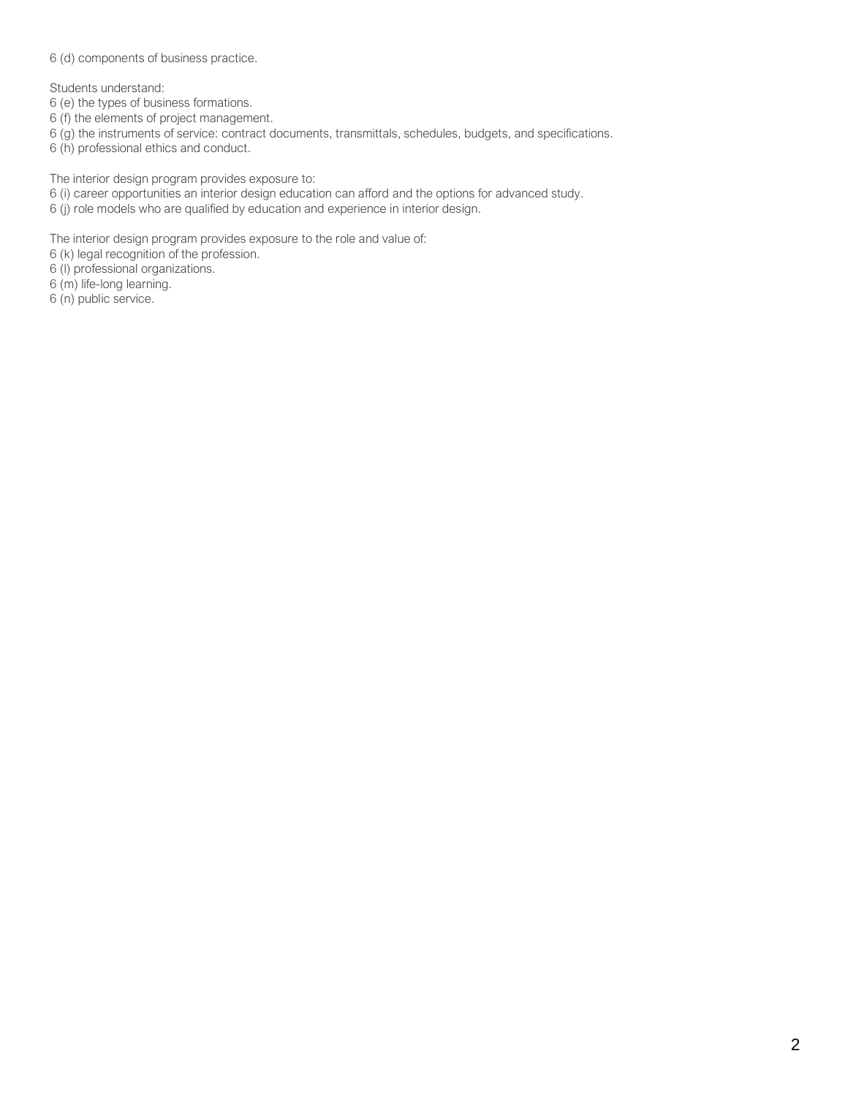6 (d) components of business practice.

Students understand:

- 6 (e) the types of business formations.
- 6 (f) the elements of project management.
- 6 (g) the instruments of service: contract documents, transmittals, schedules, budgets, and specifications.
- 6 (h) professional ethics and conduct.

The interior design program provides exposure to:

- 6 (i) career opportunities an interior design education can afford and the options for advanced study.
- 6 (j) role models who are qualified by education and experience in interior design.

The interior design program provides exposure to the role and value of:

- 6 (k) legal recognition of the profession.
- 6 (l) professional organizations.
- 6 (m) life-long learning.
- 6 (n) public service.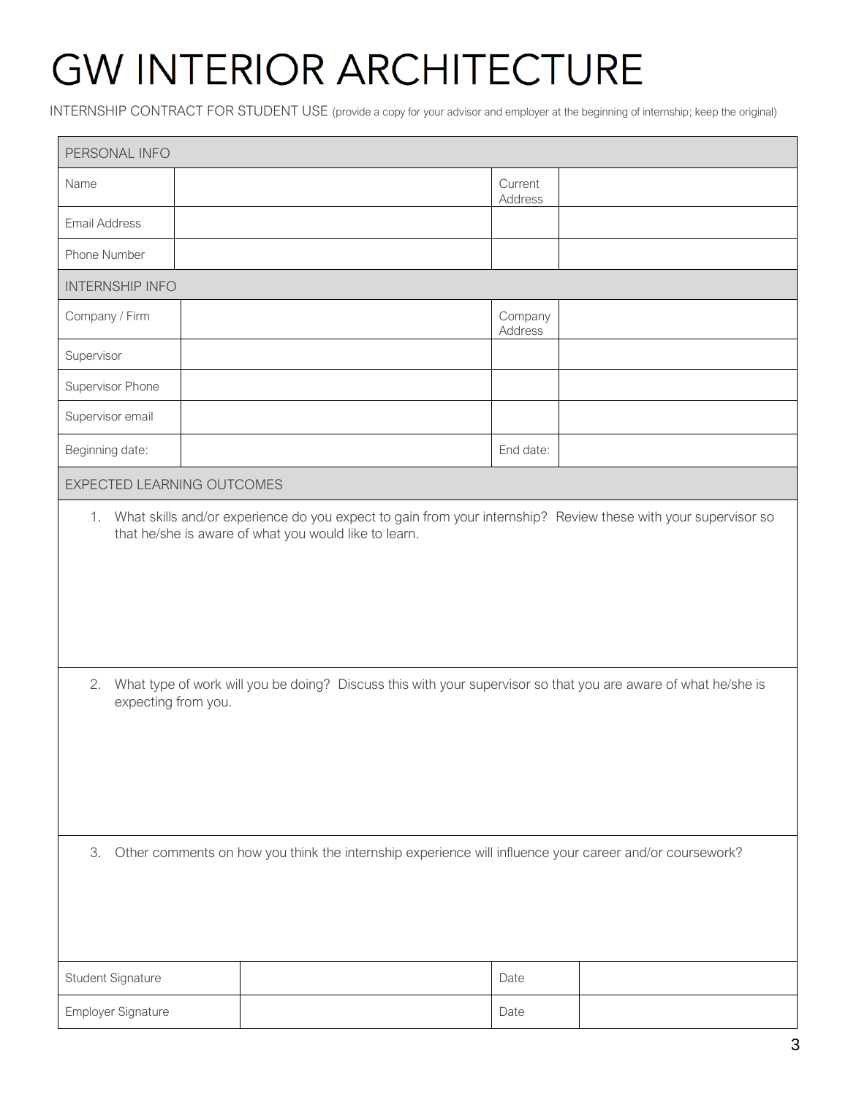INTERNSHIP CONTRACT FOR STUDENT USE (provide a copy for your advisor and employer at the beginning of internship; keep the original)

| PERSONAL INFO                                                                                                                                                                                     |  |  |                    |  |  |  |  |
|---------------------------------------------------------------------------------------------------------------------------------------------------------------------------------------------------|--|--|--------------------|--|--|--|--|
| Name                                                                                                                                                                                              |  |  | Current<br>Address |  |  |  |  |
| <b>Email Address</b>                                                                                                                                                                              |  |  |                    |  |  |  |  |
| Phone Number                                                                                                                                                                                      |  |  |                    |  |  |  |  |
| <b>INTERNSHIP INFO</b>                                                                                                                                                                            |  |  |                    |  |  |  |  |
| Company / Firm                                                                                                                                                                                    |  |  | Company<br>Address |  |  |  |  |
| Supervisor                                                                                                                                                                                        |  |  |                    |  |  |  |  |
| Supervisor Phone                                                                                                                                                                                  |  |  |                    |  |  |  |  |
| Supervisor email                                                                                                                                                                                  |  |  |                    |  |  |  |  |
| Beginning date:                                                                                                                                                                                   |  |  | End date:          |  |  |  |  |
| EXPECTED LEARNING OUTCOMES                                                                                                                                                                        |  |  |                    |  |  |  |  |
| that he/she is aware of what you would like to learn.<br>2. What type of work will you be doing? Discuss this with your supervisor so that you are aware of what he/she is<br>expecting from you. |  |  |                    |  |  |  |  |
| Other comments on how you think the internship experience will influence your career and/or coursework?<br>3.                                                                                     |  |  |                    |  |  |  |  |
| Student Signature                                                                                                                                                                                 |  |  | Date               |  |  |  |  |
| Employer Signature                                                                                                                                                                                |  |  | Date               |  |  |  |  |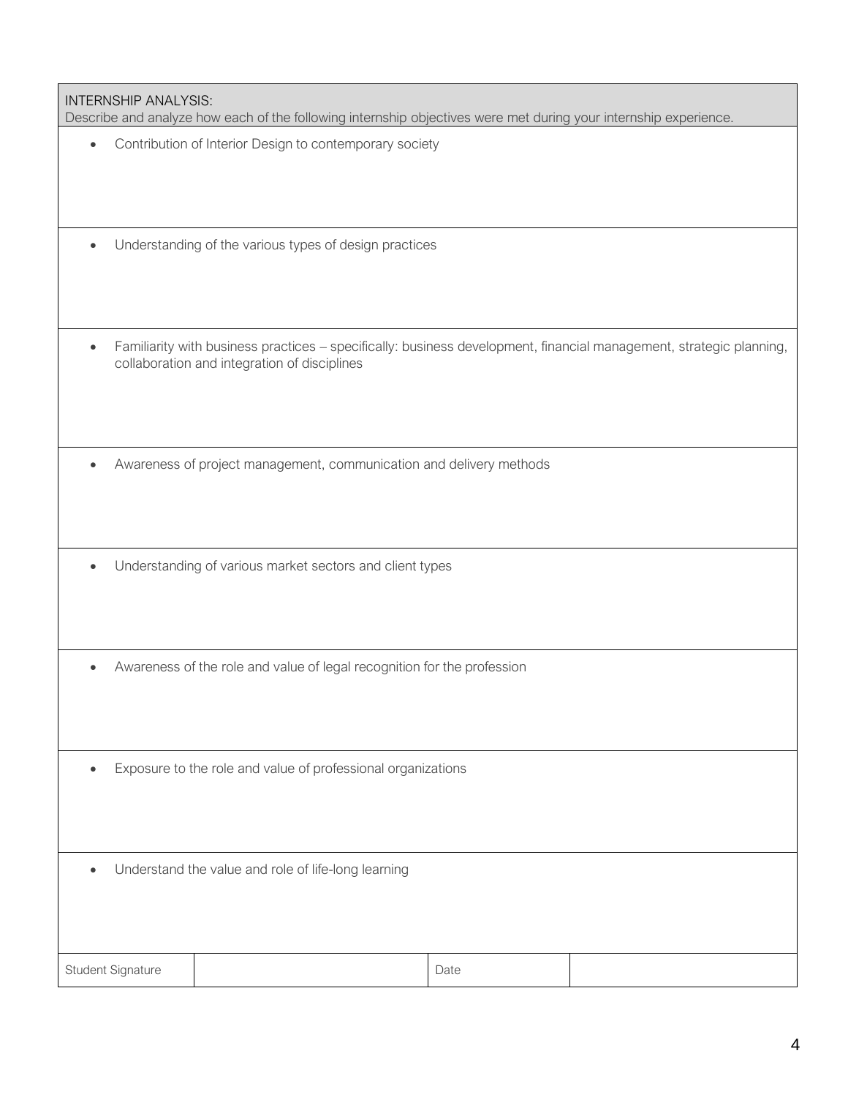| <b>INTERNSHIP ANALYSIS:</b><br>Describe and analyze how each of the following internship objectives were met during your internship experience. |                                                                                                                                                                     |      |  |  |  |
|-------------------------------------------------------------------------------------------------------------------------------------------------|---------------------------------------------------------------------------------------------------------------------------------------------------------------------|------|--|--|--|
| $\bullet$                                                                                                                                       | Contribution of Interior Design to contemporary society                                                                                                             |      |  |  |  |
| $\bullet$                                                                                                                                       | Understanding of the various types of design practices                                                                                                              |      |  |  |  |
| $\bullet$                                                                                                                                       | Familiarity with business practices - specifically: business development, financial management, strategic planning,<br>collaboration and integration of disciplines |      |  |  |  |
|                                                                                                                                                 | Awareness of project management, communication and delivery methods                                                                                                 |      |  |  |  |
|                                                                                                                                                 | Understanding of various market sectors and client types                                                                                                            |      |  |  |  |
|                                                                                                                                                 | Awareness of the role and value of legal recognition for the profession                                                                                             |      |  |  |  |
| $\bullet$                                                                                                                                       | Exposure to the role and value of professional organizations                                                                                                        |      |  |  |  |
| $\bullet$                                                                                                                                       | Understand the value and role of life-long learning                                                                                                                 |      |  |  |  |
| Student Signature                                                                                                                               |                                                                                                                                                                     | Date |  |  |  |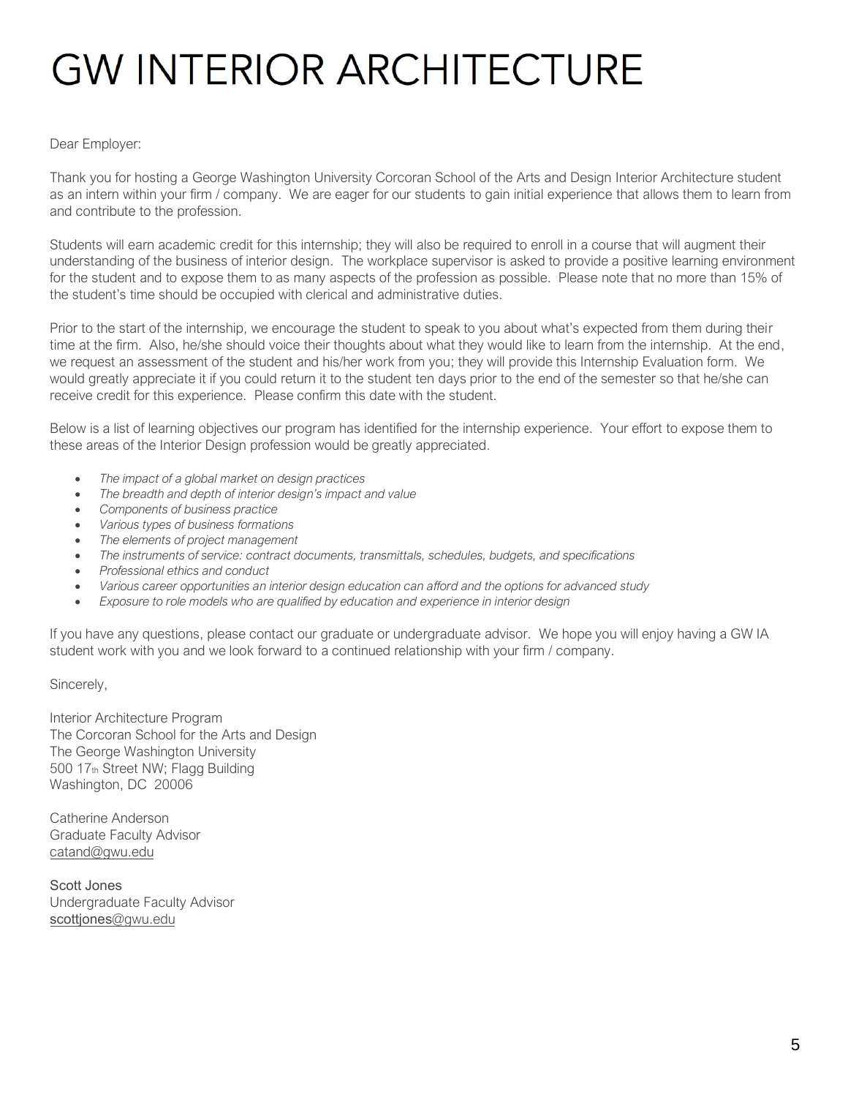#### Dear Employer:

Thank you for hosting a George Washington University Corcoran School of the Arts and Design Interior Architecture student as an intern within your firm / company. We are eager for our students to gain initial experience that allows them to learn from and contribute to the profession.

Students will earn academic credit for this internship; they will also be required to enroll in a course that will augment their understanding of the business of interior design. The workplace supervisor is asked to provide a positive learning environment for the student and to expose them to as many aspects of the profession as possible. Please note that no more than 15% of the student's time should be occupied with clerical and administrative duties.

Prior to the start of the internship, we encourage the student to speak to you about what's expected from them during their time at the firm. Also, he/she should voice their thoughts about what they would like to learn from the internship. At the end, we request an assessment of the student and his/her work from you; they will provide this Internship Evaluation form. We would greatly appreciate it if you could return it to the student ten days prior to the end of the semester so that he/she can receive credit for this experience. Please confirm this date with the student.

Below is a list of learning objectives our program has identified for the internship experience. Your effort to expose them to these areas of the Interior Design profession would be greatly appreciated.

- *The impact of a global market on design practices*
- *The breadth and depth of interior design's impact and value*
- *Components of business practice*
- *Various types of business formations*
- *The elements of project management*
- *The instruments of service: contract documents, transmittals, schedules, budgets, and specifications*
- *Professional ethics and conduct*
- *Various career opportunities an interior design education can afford and the options for advanced study*
- *Exposure to role models who are qualified by education and experience in interior design*

If you have any questions, please contact our graduate or undergraduate advisor. We hope you will enjoy having a GW IA student work with you and we look forward to a continued relationship with your firm / company.

Sincerely,

Interior Architecture Program The Corcoran School for the Arts and Design The George Washington University 500 17th Street NW; Flagg Building Washington, DC 20006

Catherine Anderson Graduate Faculty Advisor [catand@gwu.edu](mailto:ejspeck@gwu.edu)

Scott Jones Undergraduate Faculty Advisor [scottjones](mailto:scottjones@gwu.edu)@gwu.edu